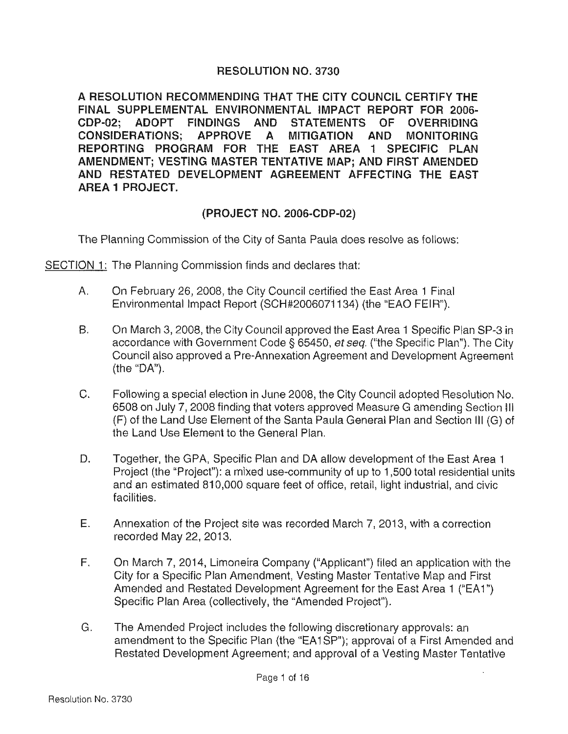## RESOLUTION NO. 3730

A RESOLUTION RECOMMENDING THAT THE CITY COUNCIL CERTIFY THE FINAL SUPPLEMENTAL ENVIRONMENTAL IMPACT REPORT FOR 2006- CDP-02; ADOPT FINDINGS AND STATEMENTS OF OVERRIDING CONSIDERATIONS; APPROVE A MITIGATION AND MONITORING REPORTING PROGRAM FOR THE EAST AREA 1 SPECIFIC PLAN AMENDMENT; VESTING MASTER TENTATIVE MAP; AND FIRST AMENDED AND RESTATED DEVELOPMENT AGREEMENT AFFECTING THE EAST AREA 1 PROJECT.

## (PROJECT NO. 2006-CDP-02)

The Planning Commission of the City of Santa Paula does resolve as follows:

SECTION 1: The Planning Commission finds and declares that:

- A. On February 26, 2008, the City Council certified the East Area 1 Final Environmental Impact Report (SCH#2006071134) (the "EAO FEIR").
- B. On March 3, 2008, the City Council approved the East Area 1 Specific Plan SP-3 in accordance with Government Code§ 65450, *et seq.* ("the Specific Plan"). The City Council also approved a Pre-Annexation Agreement and Development Agreement (the "DA").
- C. Following a special election in June 2008, the City Council adopted Resolution No. 6508 on July 7, 2008 finding that voters approved Measure G amending Section Ill (F) of the Land Use Element of the Santa Paula General Plan and Section Ill (G) of the Land Use Element to the General Plan.
- D. Together, the GPA, Specific Plan and DA allow development of the East Area 1 Project (the "Project"): a mixed use-community of up to 1,500 total residential units and an estimated 810,000 square feet of office, retail, light industrial, and civic facilities.
- E. Annexation of the Project site was recorded March 7, 2013, with a correction recorded May 22, 2013.
- F. On March 7, 2014, Limoneira Company ("Applicant") filed an application with the City for a Specific Plan Amendment, Vesting Master Tentative Map and First Amended and Restated Development Agreement for the East Area 1 ("EA1") Specific Plan Area (collectively, the "Amended Project").
- G. The Amended Project includes the following discretionary approvals: an amendment to the Specific Plan (the "EA1SP"); approval of a First Amended and Restated Development Agreement; and approval of a Vesting Master Tentative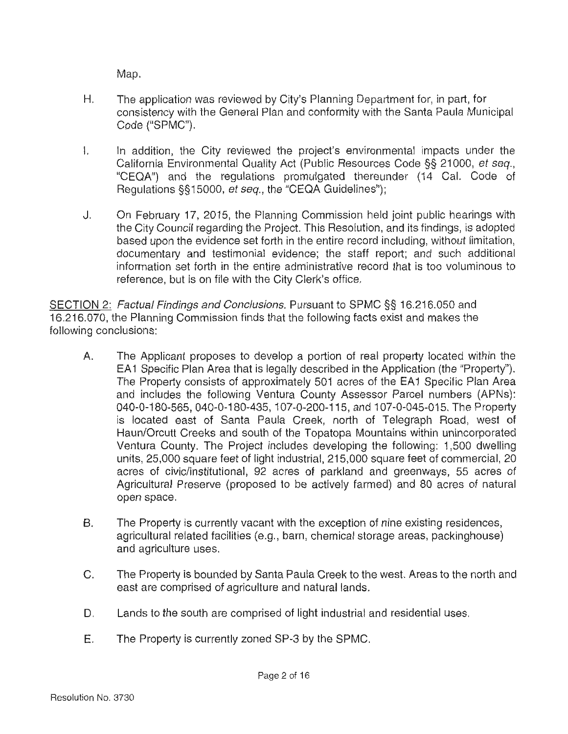Map.

- H. The application was reviewed by City's Planning Department for, in part, for consistency with the General Plan and conformity with the Santa Paula Municipal Code ("SPMC").
- I. In addition, the City reviewed the project's environmental impacts under the California Environmental Quality Act (Public Resources Code §§ 21000, et seq., "CEQA") and the regulations promulgated thereunder (14 Cal. Code of Regulations §§15000, et seq. , the "CEQA Guidelines");
- J. On February 17, 2015, the Planning Commission held joint public hearings with the City Council regarding the Project. This Resolution, and its findings, is adopted based upon the evidence set forth in the entire record including, without limitation, documentary and testimonial evidence; the staff report; and such additional information set forth in the entire administrative record that is too voluminous to reference, but is on file with the City Clerk's office.

SECTION 2: Factual Findings and Conclusions. Pursuant to SPMC §§ 16.216.050 and 16.216.070, the Planning Commission finds that the following facts exist and makes the following conclusions:

- A. The Applicant proposes to develop a portion of real property located within the EA1 Specific Plan Area that is legally described in the Application (the "Property"). The Property consists of approximately 501 acres of the EA1 Specific Plan Area and includes the following Ventura County Assessor Parcel numbers (APNs): 040-0-180-565, 040-0-180-435, 107-0-200-115, and 107-0-045-015. The Property is located east of Santa Paula Creek, north of Telegraph Road, west of Haun/Orcutt Creeks and south of the Topatopa Mountains within unincorporated Ventura County. The Project includes developing the following: 1,500 dwelling units, 25,000 square feet of light industrial, 215,000 square feet of commercial, 20 acres of civic/institutional, 92 acres of parkland and greenways, 55 acres of Agricultural Preserve (proposed to be actively farmed) and 80 acres of natural open space.
- B. The Property is currently vacant with the exception of nine existing residences, agricultural related facilities (e.g., barn, chemical storage areas, packinghouse) and agriculture uses.
- C. The Property is bounded by Santa Paula Creek to the west. Areas to the north and east are comprised of agriculture and natural lands.
- D. Lands to the south are comprised of light industrial and residential uses.
- E. The Property is currently zoned SP-3 by the SPMC.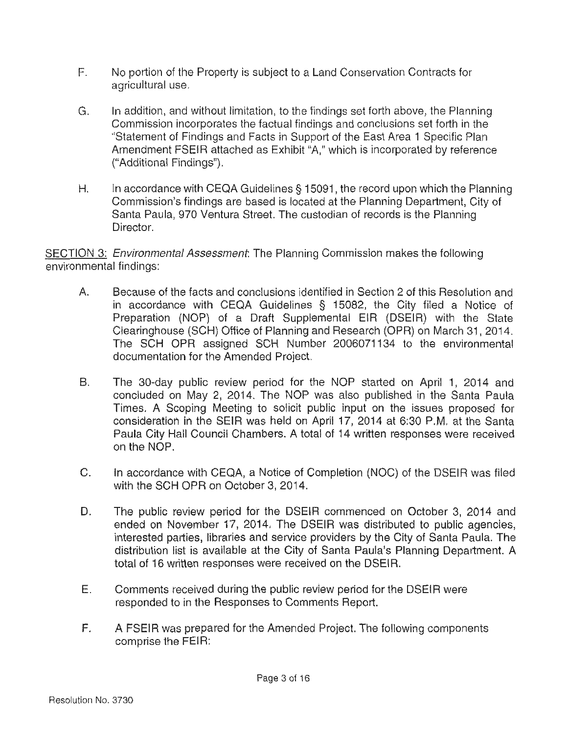- F. No portion of the Property is subject to a Land Conservation Contracts for agricultural use.
- G. In addition, and without limitation , to the findings set forth above, the Planning Commission incorporates the factual findings and conclusions set forth in the "Statement of Findings and Facts in Support of the East Area 1 Specific Plan Amendment FSEIR attached as Exhibit "A," which is incorporated by reference ("Additional Findings").
- H. In accordance with CEQA Guidelines § 15091, the record upon which the Planning Commission's findings are based is located at the Planning Department, City of Santa Paula, 970 Ventura Street. The custodian of records is the Planning Director.

SECTION 3: *Environmental Assessment*: The Planning Commission makes the following environmental findings:

- A. Because of the facts and conclusions identified in Section 2 of this Resolution and in accordance with CEQA Guidelines § 15082, the City filed a Notice of Preparation (NOP) of a Draft Supplemental EIR (DSEIR) with the State Clearinghouse (SCH) Office of Planning and Research (OPR) on March 31, 2014. The SCH OPR assigned SCH Number 2006071134 to the environmental documentation for the Amended Project.
- B. The 30-day public review period for the NOP started on April 1, 2014 and concluded on May 2, 2014. The NOP was also published in the Santa Paula Times. A Scoping Meeting to solicit public input on the issues proposed for consideration in the SEIR was held on April 17, 2014 at 6:30 P.M. at the Santa Paula City Hall Council Chambers. A total of 14 written responses were received on the NOP.
- C. In accordance with CEQA, a Notice of Completion (NOC) of the DSEIR was filed with the SCH QPR on October 3, 2014.
- D. The public review period for the DSEIR commenced on October 3, 2014 and ended on November 17, 2014. The DSEIR was distributed to public agencies, interested parties, libraries and service providers by the City of Santa Paula. The distribution list is available at the City of Santa Paula's Planning Department. A total of 16 written responses were received on the DSEIR.
- E. Comments received during the public review period for the DSEIR were responded to in the Responses to Comments Report.
- F. A FSEIR was prepared for the Amended Project. The following components comprise the FEIR: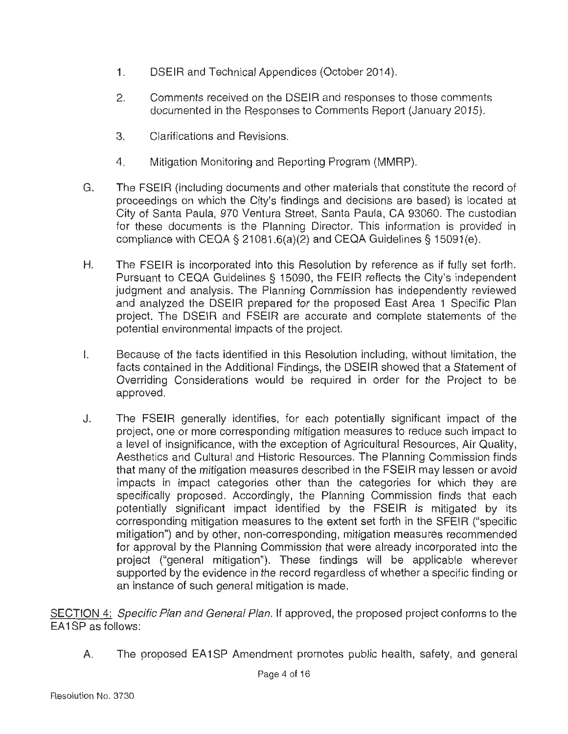- 1. DSEIR and Technical Appendices (October 2014).
- 2. Comments received on the DSEIR and responses to those comments documented in the Responses to Comments Report (January 2015).
- 3. Clarifications and Revisions.
- 4. Mitigation Monitoring and Reporting Program (MMRP).
- G. The FSEIR (including documents and other materials that constitute the record of proceedings on which the City's findings and decisions are based) is located at City of Santa Paula, 970 Ventura Street, Santa Paula, CA 93060. The custodian for these documents is the Planning Director. This information is provided in compliance with CEQA § 21081.6(a)(2) and CEQA Guidelines § 15091(e).
- H. The FSEIR is incorporated into this Resolution by reference as if fully set forth. Pursuant to CEQA Guidelines § 15090, the FEIR reflects the City's independent judgment and analysis. The Planning Commission has independently reviewed and analyzed the DSEIR prepared for the proposed East Area 1 Specific Plan project. The DSEIR and FSEIR are accurate and complete statements of the potential environmental impacts of the project.
- I. Because of the facts identified in this Resolution including, without limitation, the facts contained in the Additional Findings, the DSEIR showed that a Statement of Overriding Considerations would be required in order for the Project to be approved.
- J. The FSEIR generally identifies, for each potentially significant impact of the project, one or more corresponding mitigation measures to reduce such impact to a level of insignificance, with the exception of Agricultural Resources, Air Quality, Aesthetics and Cultural and Historic Resources. The Planning Commission finds that many of the mitigation measures described in the FSEIR may lessen or avoid impacts in impact categories other than the categories for which they are specifically proposed. Accordingly, the Planning Commission finds that each potentially significant impact identified by the FSEIR is mitigated by its corresponding mitigation measures to the extent set forth in the SFEIR ("specific mitigation") and by other, non-corresponding, mitigation measures recommended for approval by the Planning Commission that were already incorporated into the project ("general mitigation"). These findings will be applicable wherever supported by the evidence in the record regardless of whether a specific finding or an instance of such general mitigation is made.

SECTION 4: Specific Plan and General Plan. If approved, the proposed project conforms to the EA1SP as follows:

A. The proposed EA1SP Amendment promotes public health, safety, and general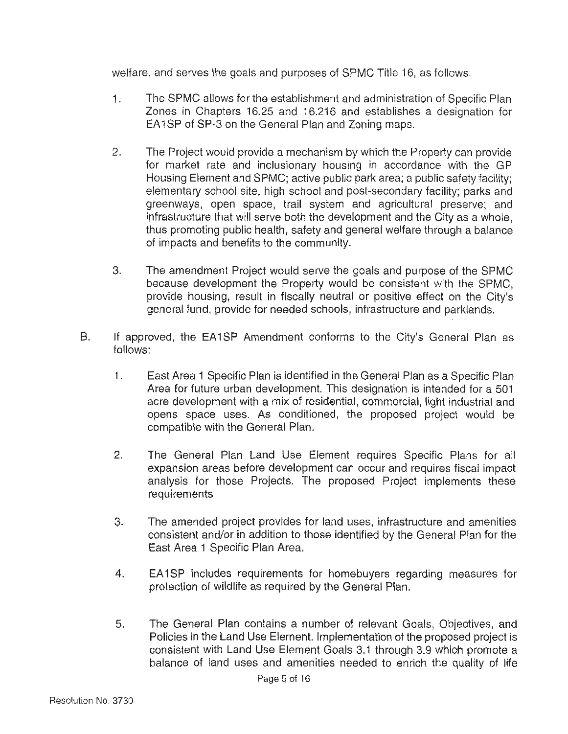welfare, and serves the goals and purposes of SPMC Title 16, as follows:

- 1. The SPMC allows for the establishment and administration of Specific Plan Zones in Chapters 16.25 and 16.216 and establishes a designation for EA1SP of SP-3 on the General Plan and Zoning maps.
- 2. The Project would provide a mechanism by which the Property can provide for market rate and inclusionary housing in accordance with the GP Housing Element and SPMC; active public park area; a public safety facility; elementary school site, high school and post-secondary facility; parks and greenways, open space, trail system and agricultural preserve; and infrastructure that will serve both the development and the City as a whole, thus promoting public health, safety and general welfare through a balance of impacts and benefits to the community.
- 3. The amendment Project would serve the goals and purpose of the SPMC because development the Property would be consistent with the SPMC, provide housing, result in fiscally neutral or positive effect on the City's general fund, provide for needed schools, infrastructure and parklands.
- B. If approved, the EA1SP Amendment conforms to the City's General Plan as follows:
	- 1. East Area 1 Specific Plan is identified in the General Plan as a Specific Plan Area for future urban development. This designation is intended for a 501 acre development with a mix of residential, commercial, light industrial and opens space uses. As conditioned, the proposed project would be compatible with the General Plan.
	- 2. The General Plan Land Use Element requires Specific Plans for all expansion areas before development can occur and requires fiscal impact analysis for those Projects. The proposed Project implements these requirements
	- 3. The amended project provides for land uses, infrastructure and amenities consistent and/or in addition to those identified by the General Plan for the East Area 1 Specific Plan Area.
	- 4. EA 1 SP includes requirements for homebuyers regarding measures for protection of wildlife as required by the General Plan.
	- 5. The General Plan contains a number of relevant Goals, Objectives, and Policies in the Land Use Element. Implementation of the proposed project is consistent with Land Use Element Goals 3.1 through 3.9 which promote a balance of land uses and amenities needed to enrich the quality of life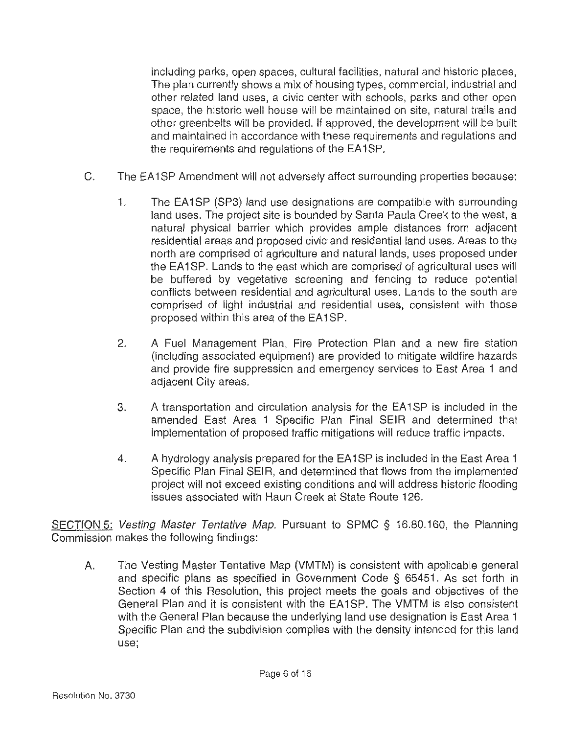including parks, open spaces, cultural facilities, natural and historic places, The plan currently shows a mix of housing types, commercial, industrial and other related land uses, a civic center with schools, parks and other open space, the historic well house will be maintained on site, natural trails and other greenbelts will be provided. If approved, the development will be built and maintained in accordance with these requirements and regulations and the requirements and regulations of the EA1SP.

- C. The EA1SP Amendment will not adversely affect surrounding properties because:
	- 1. The EA1SP (SP3) land use designations are compatible with surrounding land uses. The project site is bounded by Santa Paula Creek to the west, a natural physical barrier which provides ample distances from adjacent residential areas and proposed civic and residential land uses. Areas to the north are comprised of agriculture and natural lands, uses proposed under the EA1SP. Lands to the east which are comprised of agricultural uses will be buffered by vegetative screening and fencing to reduce potential conflicts between residential and agricultural uses. Lands to the south are comprised of light industrial and residential uses, consistent with those proposed within this area of the EA1SP.
	- 2. A Fuel Management Plan, Fire Protection Plan and a new fire station (including associated equipment) are provided to mitigate wildfire hazards and provide fire suppression and emergency services to East Area 1 and adjacent City areas.
	- 3. A transportation and circulation analysis for the EA1SP is included in the amended East Area 1 Specific Plan Final SEIR and determined that implementation of proposed traffic mitigations will reduce traffic impacts.
	- 4. A hydrology analysis prepared for the EA1SP is included in the East Area 1 Specific Plan Final SEIR, and determined that flows from the implemented project will not exceed existing conditions and will address historic flooding issues associated with Haun Creek at State Route 126.

SECTION 5: Vesting Master Tentative Map. Pursuant to SPMC § 16.80.160, the Planning Commission makes the following findings:

A. The Vesting Master Tentative Map (VMTM) is consistent with applicable general and specific plans as specified in Government Code § 65451 . As set forth in Section 4 of this Resolution, this project meets the goals and objectives of the General Plan and it is consistent with the EA 1 SP. The VMTM is also consistent with the General Plan because the underlying land use designation is East Area 1 Specific Plan and the subdivision complies with the density intended for this land use;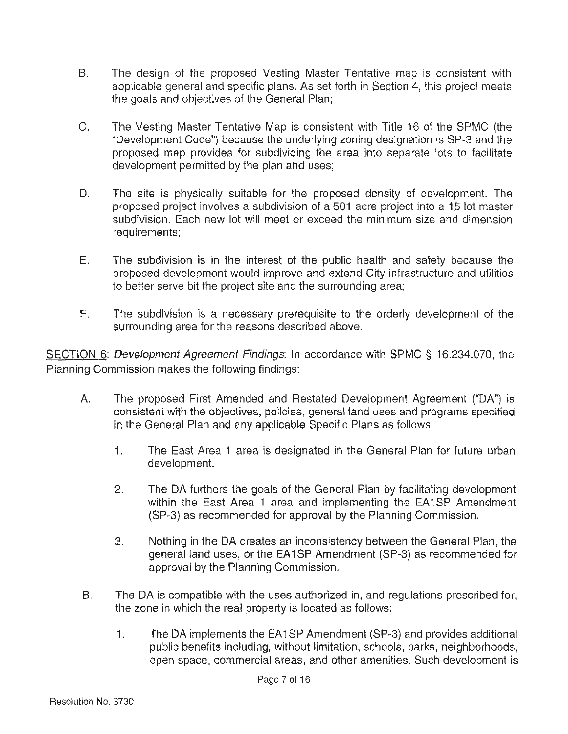- B. The design of the proposed Vesting Master Tentative map is consistent with applicable general and specific plans. As set forth in Section 4, this project meets the goals and objectives of the General Plan;
- C. The Vesting Master Tentative Map is consistent with Title 16 of the SPMC (the "Development Code") because the underlying zoning designation is SP-3 and the proposed map provides for subdividing the area into separate lots to facilitate development permitted by the plan and uses;
- D. The site is physically suitable for the proposed density of development. The proposed project involves a subdivision of a 501 acre project into a 15 lot master subdivision. Each new lot will meet or exceed the minimum size and dimension requirements;
- E. The subdivision is in the interest of the public health and safety because the proposed development would improve and extend City infrastructure and utilities to better serve bit the project site and the surrounding area;
- F. The subdivision is a necessary prerequisite to the orderly development of the surrounding area for the reasons described above.

SECTION 6: Development Agreement Findings: In accordance with SPMC § 16.234.070, the Planning Commission makes the following findings:

- A. The proposed First Amended and Restated Development Agreement {"DA") is consistent with the objectives, policies, general land uses and programs specified in the General Plan and any applicable Specific Plans as follows:
	- 1. The East Area 1 area is designated in the General Plan for future urban development.
	- 2. The DA furthers the goals of the General Plan by facilitating development within the East Area 1 area and implementing the EA1SP Amendment (SP-3) as recommended for approval by the Planning Commission.
	- 3. Nothing in the DA creates an inconsistency between the General Plan, the general land uses, or the EA 1 SP Amendment (SP-3) as recommended for approval by the Planning Commission.
- B. The DA is compatible with the uses authorized in, and regulations prescribed for, the zone in which the real property is located as follows:
	- 1. The DA implements the EA1SP Amendment (SP-3) and provides additional public benefits including, without limitation, schools, parks, neighborhoods, open space, commercial areas, and other amenities. Such development is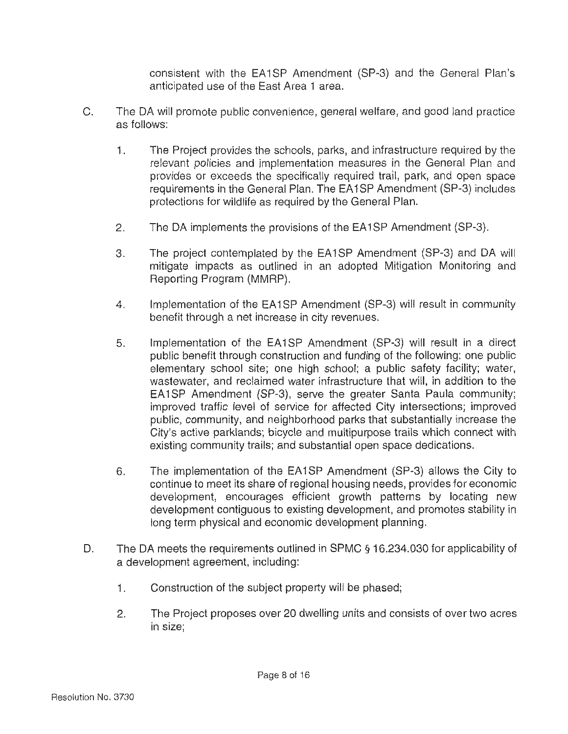consistent with the EA1SP Amendment (SP-3) and the General Plan's anticipated use of the East Area 1 area.

- C. The DA will promote public convenience, general welfare, and good land practice as follows:
	- 1. The Project provides the schools, parks, and infrastructure required by the relevant policies and implementation measures in the General Plan and provides or exceeds the specifically required trail, park, and open space requirements in the General Plan. The EA 1 SP Amendment (SP-3) includes protections for wildlife as required by the General Plan.
	- 2. The DA implements the provisions of the EA1SP Amendment (SP-3).
	- 3. The project contemplated by the EA1SP Amendment (SP-3) and DA will mitigate impacts as outlined in an adopted Mitigation Monitoring and Reporting Program (MMRP).
	- 4. Implementation of the EA1SP Amendment (SP-3) will result in community benefit through a net increase in city revenues.
	- 5. Implementation of the EA1SP Amendment (SP-3) will result in a direct public benefit through construction and funding of the following: one public elementary school site; one high school; a public safety facility; water, wastewater, and reclaimed water infrastructure that will, in addition to the EA1SP Amendment (SP-3), serve the greater Santa Paula community; improved traffic level of service for affected City intersections; improved public, community, and neighborhood parks that substantially increase the City's active parklands; bicycle and multipurpose trails which connect with existing community trails; and substantial open space dedications.
	- 6. The implementation of the EA1SP Amendment (SP-3) allows the City to continue to meet its share of regional housing needs, provides for economic development, encourages efficient growth patterns by locating new development contiguous to existing development, and promotes stability in long term physical and economic development planning.
- D. The DA meets the requirements outlined in SPMC § 16.234.030 for applicability of a development agreement, including:
	- 1. Construction of the subject property will be phased;
	- 2. The Project proposes over 20 dwelling units and consists of over two acres in size;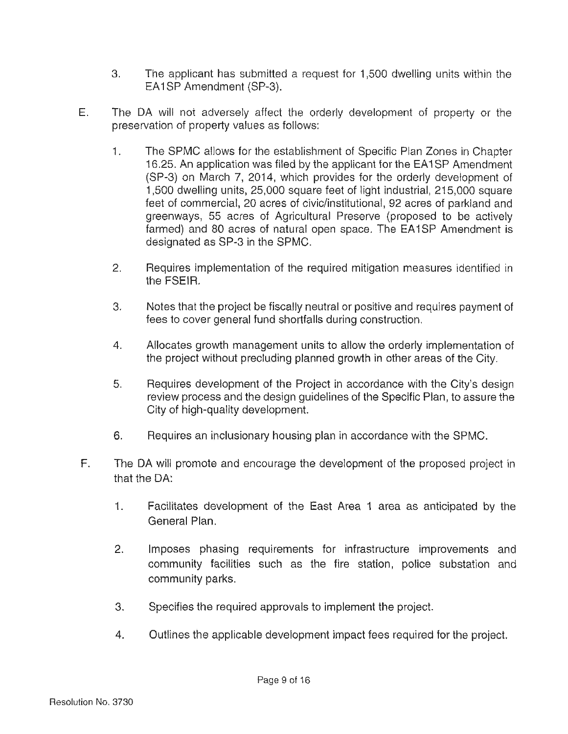- 3. The applicant has submitted a request for 1,500 dwelling units within the EA1SP Amendment (SP-3).
- E. The DA will not adversely affect the orderly development of property or the preservation of property values as follows:
	- 1. The SPMC allows for the establishment of Specific Plan Zones in Chapter 16.25. An application was filed by the applicant for the EA1SP Amendment (SP-3) on March 7, 2014, which provides for the orderly development of 1,500 dwelling units, 25,000 square feet of light industrial, 215,000 square feet of commercial, 20 acres of civic/institutional, 92 acres of parkland and greenways, 55 acres of Agricultural Preserve (proposed to be actively farmed) and 80 acres of natural open space. The EA1SP Amendment is designated as SP-3 in the SPMC.
	- 2. Requires implementation of the required mitigation measures identified in the FSEIR.
	- 3. Notes that the project be fiscally neutral or positive and requires payment of fees to cover general fund shortfalls during construction.
	- 4. Allocates growth management units to allow the orderly implementation of the project without precluding planned growth in other areas of the City.
	- 5. Requires development of the Project in accordance with the City's design review process and the design guidelines of the Specific Plan, to assure the City of high-quality development.
	- 6. Requires an inclusionary housing plan in accordance with the SPMC.
- F. The DA will promote and encourage the development of the proposed project in that the DA:
	- 1. Facilitates development of the East Area 1 area as anticipated by the General Plan.
	- 2. Imposes phasing requirements for infrastructure improvements and community facilities such as the fire station, police substation and community parks.
	- 3. Specifies the required approvals to implement the project.
	- 4. Outlines the applicable development impact fees required for the project.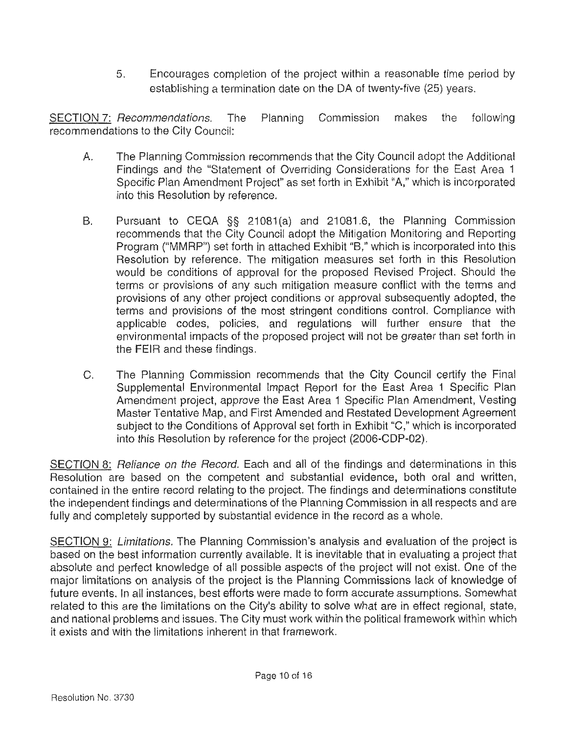5. Encourages completion of the project within a reasonable time period by establishing a termination date on the DA of twenty-five (25) years.

SECTION 7: Recommendations. The Planning Commission makes the following recommendations to the City Council:

- A. The Planning Commission recommends that the City Council adopt the Additional Findings and the "Statement of Overriding Considerations for the East Area 1 Specific Plan Amendment Project" as set forth in Exhibit "A," which is incorporated into this Resolution by reference.
- B. Pursuant to CEQA §§ 21081(a) and 21081.6, the Planning Commission recommends that the City Council adopt the Mitigation Monitoring and Reporting Program ("MMRP") set forth in attached Exhibit "B," which is incorporated into this Resolution by reference. The mitigation measures set forth in this Resolution would be conditions of approval for the proposed Revised Project. Should the terms or provisions of any such mitigation measure conflict with the terms and provisions of any other project conditions or approval subsequently adopted, the terms and provisions of the most stringent conditions control. Compliance with applicable codes, policies, and regulations will further ensure that the environmental impacts of the proposed project will not be greater than set forth in the FEIR and these findings.
- C. The Planning Commission recommends that the City Council certify the Final Supplemental Environmental Impact Report for the East Area 1 Specific Plan Amendment project, approve the East Area 1 Specific Plan Amendment, Vesting Master Tentative Map, and First Amended and Restated Development Agreement subject to the Conditions of Approval set forth in Exhibit "C," which is incorporated into this Resolution by reference for the project (2006-CDP-02).

SECTION 8: Reliance on the Record. Each and all of the findings and determinations in this Resolution are based on the competent and substantial evidence, both oral and written, contained in the entire record relating to the project. The findings and determinations constitute the independent findings and determinations of the Planning Commission in all respects and are fully and completely supported by substantial evidence in the record as a whole.

SECTION 9: Limitations. The Planning Commission's analysis and evaluation of the project is based on the best information currently available. It is inevitable that in evaluating a project that absolute and perfect knowledge of all possible aspects of the project will not exist. One of the major limitations on analysis of the project is the Planning Commissions lack of knowledge of future events. In all instances, best efforts were made to form accurate assumptions. Somewhat related to this are the limitations on the City's ability to solve what are in effect regional, state, and national problems and issues. The City must work within the political framework within which it exists and with the limitations inherent in that framework.